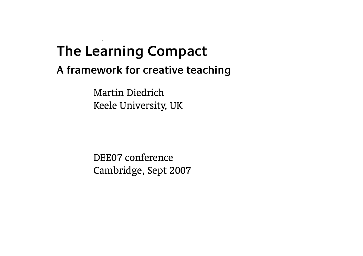#### $\zeta$ **The Learning Compact**

#### **A framework for creative teaching**

Martin Diedrich Keele University, UK

DEE07 conference Cambridge, Sept 2007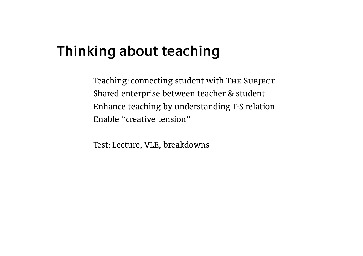## **Thinking about teaching**

Teaching: connecting student with THE SUBJECT Shared enterprise between teacher & student Enhance teaching by understanding T-S relation Enable ''creative tension''

Test: Lecture, VLE, breakdowns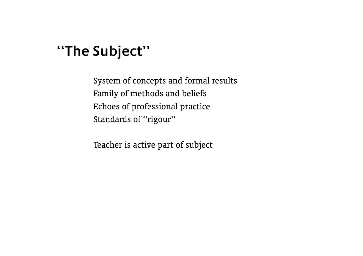#### **''The Subject''**

System of concepts and formal results Family of methods and beliefs Echoes of professional practice Standards of "rigour"

Teacher is active part of subject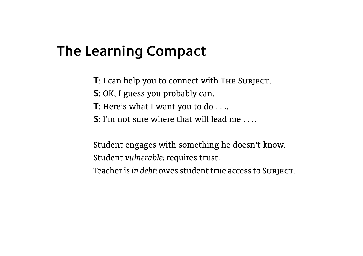# **The Learning Compact**

**T**: I can help you to connect with THE SUBJECT.

- **S**: OK, I guess you probably can.
- **T**: Here's what I want you to do *. . .*.
- **S**: I'm not sure where that will lead me *. . .*.

Student engages with something he doesn't know. Student *vulnerable:* requires trust. Teacher is*in debt*:owes student true access to Subject.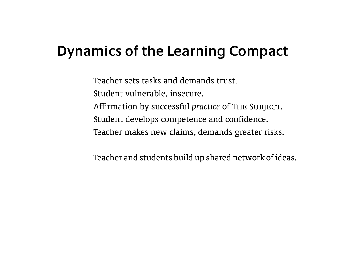# **Dynamics of the Learning Compact**

Teacher sets tasks and demands trust. Student vulnerable, insecure. Affirmation by successful *practice* of The Subject. Student develops competence and confidence. Teacher makes new claims, demands greater risks.

Teacher and students build up shared network of ideas.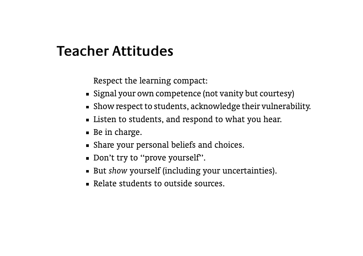#### **Teacher Attitudes**

Respect the learning compact:

- Signal your own competence (not vanity but courtesy)
- Show respect to students, acknowledge their vulnerability.
- **EXECT** Listen to students, and respond to what you hear.
- Be in charge.
- Share your personal beliefs and choices.
- Don't try to "prove yourself".
- But *show* yourself (including your uncertainties).
- Relate students to outside sources.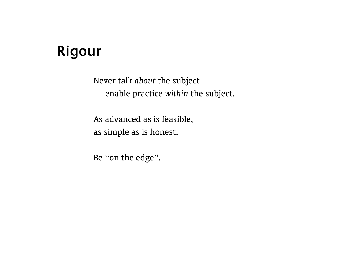# **Rigour**

Never talk *about* the subject — enable practice *within* the subject.

As advanced as is feasible, as simple as is honest.

Be ''on the edge''.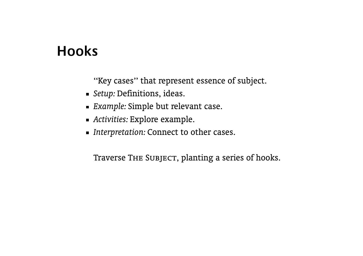#### **Hooks**

''Key cases'' that represent essence of subject.

- *Setup:* Definitions, ideas.
- *Example:* Simple but relevant case.
- *Activities:* Explore example.
- *Interpretation:* Connect to other cases.

Traverse THE SUBJECT, planting a series of hooks.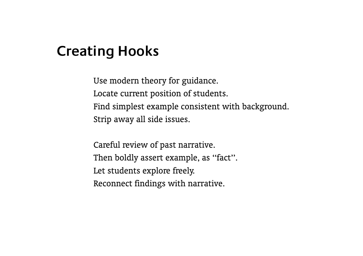#### **Creating Hooks**

Use modern theory for guidance. Locate current position of students. Find simplest example consistent with background. Strip away all side issues.

Careful review of past narrative. Then boldly assert example, as "fact". Let students explore freely. Reconnect findings with narrative.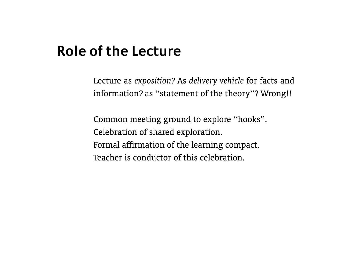#### **Role of the Lecture**

Lecture as *exposition?* As *delivery vehicle* for facts and information? as ''statement of the theory''? Wrong!!

Common meeting ground to explore ''hooks''. Celebration of shared exploration. Formal affirmation of the learning compact. Teacher is conductor of this celebration.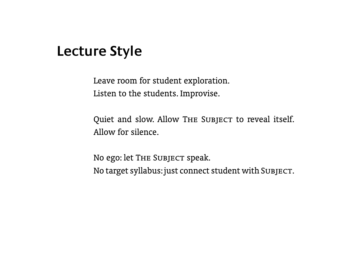#### **Lecture Style**

Leave room for student exploration. Listen to the students. Improvise.

Quiet and slow. Allow THE SUBJECT to reveal itself. Allow for silence.

No ego: let THE SUBJECT speak. No target syllabus:just connect student with Subject.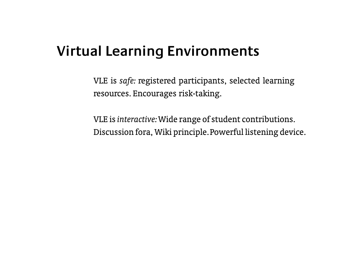# **Virtual Learning Environments**

VLE is *safe:* registered participants, selected learning resources. Encourages risk-taking.

VLE is*interactive:*Wide range of student contributions. Discussion fora, Wiki principle.Powerful listening device.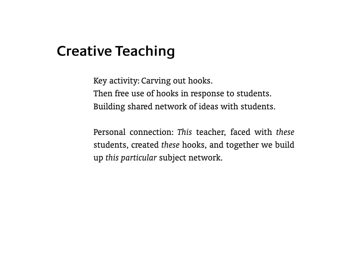## **Creative Teaching**

Key activity: Carving out hooks. Then free use of hooks in response to students. Building shared network of ideas with students.

Personal connection: *This* teacher, faced with *these* students, created *these* hooks, and together we build up *this particular* subject network.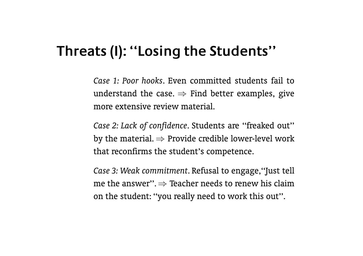#### **Threats (I): ''Losing the Students''**

*Case 1: Poor hooks*. Even committed students fail to understand the case.  $\Rightarrow$  Find better examples, give more extensive review material.

*Case 2: Lack of confidence*. Students are ''freaked out'' by the material. *⇒* Provide credible lower-level work that reconfirms the student's competence.

*Case 3: Weak commitment*. Refusal to engage,''Just tell me the answer''. *⇒* Teacher needs to renew his claim on the student: ''you really need to work this out''.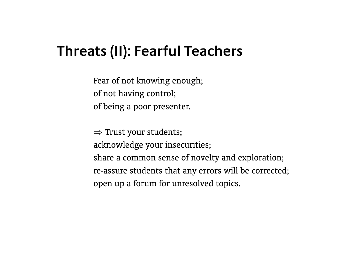# **Threats (II): Fearful Teachers**

Fear of not knowing enough; of not having control; of being a poor presenter.

*⇒* Trust your students; acknowledge your insecurities; share a common sense of novelty and exploration; re-assure students that any errors will be corrected; open up a forum for unresolved topics.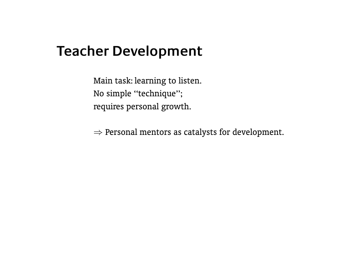#### **Teacher Development**

Main task: learning to listen. No simple ''technique''; requires personal growth.

*⇒* Personal mentors as catalysts for development.